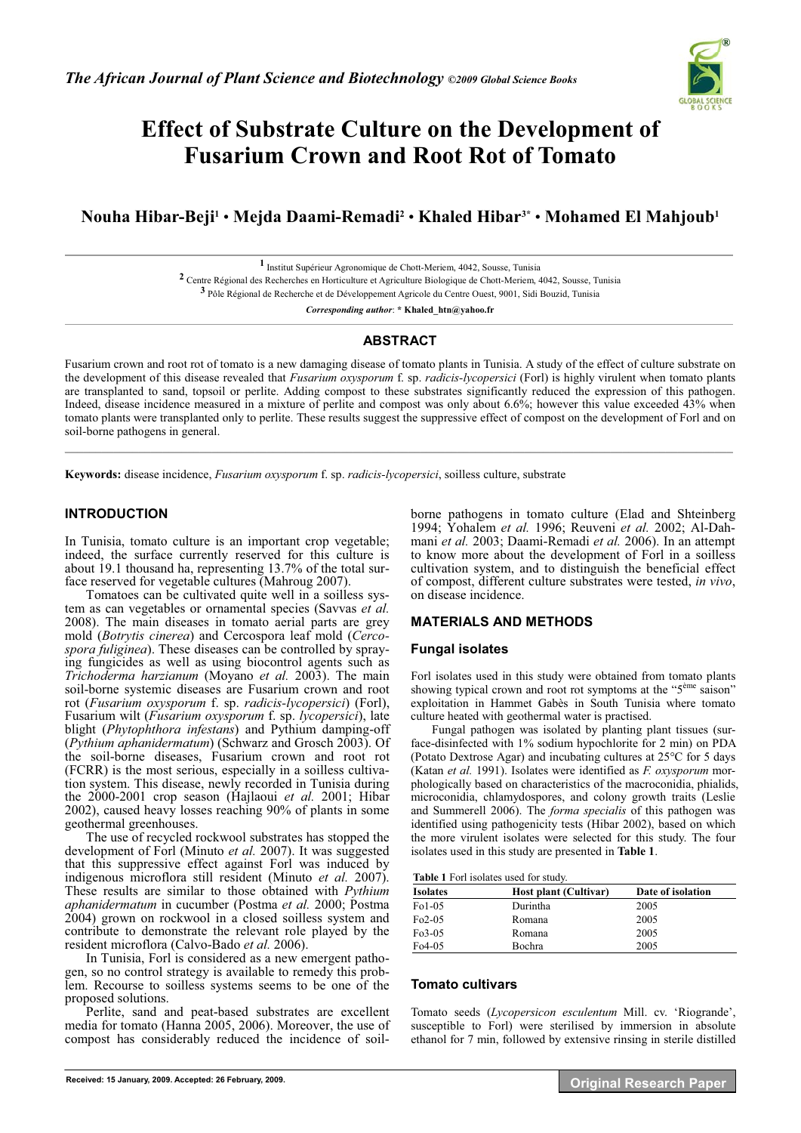

# **Effect of Substrate Culture on the Development of Fusarium Crown and Root Rot of Tomato**

## **Nouha Hibar-Beji1** • **Mejda Daami-Remadi2** • **Khaled Hibar3\*** • **Mohamed El Mahjoub1**

**1** Institut Supérieur Agronomique de Chott-Meriem, 4042, Sousse, Tunisia **2** Centre Régional des Recherches en Horticulture et Agriculture Biologique de Chott-Meriem, 4042, Sousse, Tunisia **3** Pôle Régional de Recherche et de Développement Agricole du Centre Ouest, 9001, Sidi Bouzid, Tunisia

*Corresponding author*: **\* Khaled\_htn@yahoo.fr** 

## **ABSTRACT**

Fusarium crown and root rot of tomato is a new damaging disease of tomato plants in Tunisia. A study of the effect of culture substrate on the development of this disease revealed that *Fusarium oxysporum* f. sp. *radicis-lycopersici* (Forl) is highly virulent when tomato plants are transplanted to sand, topsoil or perlite. Adding compost to these substrates significantly reduced the expression of this pathogen. Indeed, disease incidence measured in a mixture of perlite and compost was only about 6.6%; however this value exceeded 43% when tomato plants were transplanted only to perlite. These results suggest the suppressive effect of compost on the development of Forl and on soil-borne pathogens in general.  $\mathcal{L}_\mathcal{L} = \mathcal{L}_\mathcal{L} = \mathcal{L}_\mathcal{L} = \mathcal{L}_\mathcal{L} = \mathcal{L}_\mathcal{L} = \mathcal{L}_\mathcal{L} = \mathcal{L}_\mathcal{L} = \mathcal{L}_\mathcal{L} = \mathcal{L}_\mathcal{L} = \mathcal{L}_\mathcal{L} = \mathcal{L}_\mathcal{L} = \mathcal{L}_\mathcal{L} = \mathcal{L}_\mathcal{L} = \mathcal{L}_\mathcal{L} = \mathcal{L}_\mathcal{L} = \mathcal{L}_\mathcal{L} = \mathcal{L}_\mathcal{L}$ 

**Keywords:** disease incidence, *Fusarium oxysporum* f. sp. *radicis-lycopersici*, soilless culture, substrate

## **INTRODUCTION**

In Tunisia, tomato culture is an important crop vegetable; indeed, the surface currently reserved for this culture is about 19.1 thousand ha, representing 13.7% of the total surface reserved for vegetable cultures (Mahroug 2007).

Tomatoes can be cultivated quite well in a soilless system as can vegetables or ornamental species (Savvas *et al.* 2008). The main diseases in tomato aerial parts are grey mold (*Botrytis cinerea*) and Cercospora leaf mold (*Cercospora fuliginea*). These diseases can be controlled by spraying fungicides as well as using biocontrol agents such as *Trichoderma harzianum* (Moyano *et al.* 2003). The main soil-borne systemic diseases are Fusarium crown and root rot (*Fusarium oxysporum* f. sp. *radicis-lycopersici*) (Forl), Fusarium wilt (*Fusarium oxysporum* f. sp. *lycopersici*), late blight (*Phytophthora infestans*) and Pythium damping-off (*Pythium aphanidermatum*) (Schwarz and Grosch 2003). Of the soil-borne diseases, Fusarium crown and root rot (FCRR) is the most serious, especially in a soilless cultivation system. This disease, newly recorded in Tunisia during the 2000-2001 crop season (Hajlaoui *et al.* 2001; Hibar 2002), caused heavy losses reaching 90% of plants in some geothermal greenhouses.

The use of recycled rockwool substrates has stopped the development of Forl (Minuto *et al.* 2007). It was suggested that this suppressive effect against Forl was induced by indigenous microflora still resident (Minuto *et al.* 2007). These results are similar to those obtained with *Pythium aphanidermatum* in cucumber (Postma *et al.* 2000; Postma 2004) grown on rockwool in a closed soilless system and contribute to demonstrate the relevant role played by the resident microflora (Calvo-Bado *et al.* 2006).

In Tunisia, Forl is considered as a new emergent pathogen, so no control strategy is available to remedy this problem. Recourse to soilless systems seems to be one of the proposed solutions.

Perlite, sand and peat-based substrates are excellent media for tomato (Hanna 2005, 2006). Moreover, the use of compost has considerably reduced the incidence of soilborne pathogens in tomato culture (Elad and Shteinberg 1994; Yohalem *et al.* 1996; Reuveni *et al.* 2002; Al-Dahmani *et al.* 2003; Daami-Remadi *et al.* 2006). In an attempt to know more about the development of Forl in a soilless cultivation system, and to distinguish the beneficial effect of compost, different culture substrates were tested, *in vivo*, on disease incidence.

## **MATERIALS AND METHODS**

#### **Fungal isolates**

Forl isolates used in this study were obtained from tomato plants showing typical crown and root rot symptoms at the "5<sup>ème</sup> saison" exploitation in Hammet Gabès in South Tunisia where tomato culture heated with geothermal water is practised.

Fungal pathogen was isolated by planting plant tissues (surface-disinfected with 1% sodium hypochlorite for 2 min) on PDA (Potato Dextrose Agar) and incubating cultures at 25°C for 5 days (Katan *et al.* 1991). Isolates were identified as *F. oxysporum* morphologically based on characteristics of the macroconidia, phialids, microconidia, chlamydospores, and colony growth traits (Leslie and Summerell 2006). The *forma specialis* of this pathogen was identified using pathogenicity tests (Hibar 2002), based on which the more virulent isolates were selected for this study. The four isolates used in this study are presented in **Table 1**.

| Table 1 Forl isolates used for study. |  |  |  |  |  |
|---------------------------------------|--|--|--|--|--|
|---------------------------------------|--|--|--|--|--|

| <b>Isolates</b> | <b>Host plant (Cultivar)</b> | Date of isolation |  |  |  |  |
|-----------------|------------------------------|-------------------|--|--|--|--|
| $F01-05$        | Durintha                     | 2005              |  |  |  |  |
| $Fo2-05$        | Romana                       | 2005              |  |  |  |  |
| $Fo3-05$        | Romana                       | 2005              |  |  |  |  |
| $Fo4-05$        | Bochra                       | 2005              |  |  |  |  |

#### **Tomato cultivars**

Tomato seeds (*Lycopersicon esculentum* Mill. cv. 'Riogrande', susceptible to Forl) were sterilised by immersion in absolute ethanol for 7 min, followed by extensive rinsing in sterile distilled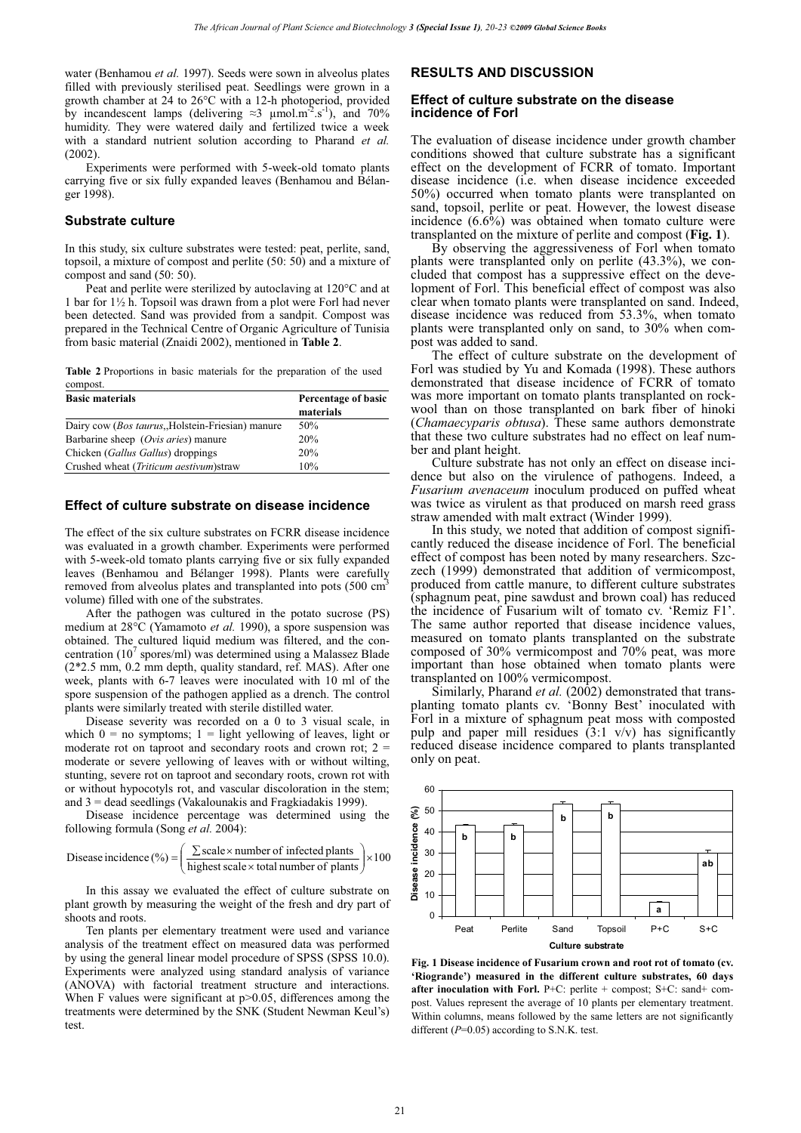water (Benhamou *et al.* 1997). Seeds were sown in alveolus plates filled with previously sterilised peat. Seedlings were grown in a growth chamber at 24 to 26°C with a 12-h photoperiod, provided by incandescent lamps (delivering  $\approx$  3  $\mu$ mol.m<sup>-2</sup>.s<sup>-1</sup>), and 70% humidity. They were watered daily and fertilized twice a week with a standard nutrient solution according to Pharand *et al.* (2002).

Experiments were performed with 5-week-old tomato plants carrying five or six fully expanded leaves (Benhamou and Bélanger 1998).

### **Substrate culture**

In this study, six culture substrates were tested: peat, perlite, sand, topsoil, a mixture of compost and perlite (50: 50) and a mixture of compost and sand (50: 50).

Peat and perlite were sterilized by autoclaving at 120°C and at 1 bar for 1½ h. Topsoil was drawn from a plot were Forl had never been detected. Sand was provided from a sandpit. Compost was prepared in the Technical Centre of Organic Agriculture of Tunisia from basic material (Znaidi 2002), mentioned in **Table 2**.

**Table 2** Proportions in basic materials for the preparation of the used compost.

| <b>Basic materials</b>                                    | Percentage of basic |  |  |  |  |
|-----------------------------------------------------------|---------------------|--|--|--|--|
|                                                           | materials           |  |  |  |  |
| Dairy cow ( <i>Bos taurus</i> , Holstein-Friesian) manure | 50%                 |  |  |  |  |
| Barbarine sheep (Ovis aries) manure                       | 20%                 |  |  |  |  |
| Chicken ( <i>Gallus Gallus</i> ) droppings                | 20%                 |  |  |  |  |
| Crushed wheat <i>(Triticum aestivum)</i> straw            | 10%                 |  |  |  |  |

#### **Effect of culture substrate on disease incidence**

The effect of the six culture substrates on FCRR disease incidence was evaluated in a growth chamber. Experiments were performed with 5-week-old tomato plants carrying five or six fully expanded leaves (Benhamou and Bélanger 1998). Plants were carefully removed from alveolus plates and transplanted into pots (500 cm<sup>3</sup> volume) filled with one of the substrates.

After the pathogen was cultured in the potato sucrose (PS) medium at 28°C (Yamamoto *et al.* 1990), a spore suspension was obtained. The cultured liquid medium was filtered, and the concentration (10<sup>7</sup> spores/ml) was determined using a Malassez Blade (2\*2.5 mm, 0.2 mm depth, quality standard, ref. MAS). After one week, plants with 6-7 leaves were inoculated with 10 ml of the spore suspension of the pathogen applied as a drench. The control plants were similarly treated with sterile distilled water.

Disease severity was recorded on a 0 to 3 visual scale, in which  $0 =$  no symptoms;  $1 =$  light yellowing of leaves, light or moderate rot on taproot and secondary roots and crown rot:  $2 =$ moderate or severe yellowing of leaves with or without wilting, stunting, severe rot on taproot and secondary roots, crown rot with or without hypocotyls rot, and vascular discoloration in the stem; and 3 = dead seedlings (Vakalounakis and Fragkiadakis 1999).

Disease incidence percentage was determined using the following formula (Song *et al.* 2004):

$$
\text{Disease incidence } (\%) = \left(\frac{\sum \text{scale} \times \text{number of infected plants}}{\text{highest scale} \times \text{total number of plants}}\right) \times 100
$$

In this assay we evaluated the effect of culture substrate on plant growth by measuring the weight of the fresh and dry part of shoots and roots.

Ten plants per elementary treatment were used and variance analysis of the treatment effect on measured data was performed by using the general linear model procedure of SPSS (SPSS 10.0). Experiments were analyzed using standard analysis of variance (ANOVA) with factorial treatment structure and interactions. When F values were significant at p>0.05, differences among the treatments were determined by the SNK (Student Newman Keul's) test.

## **RESULTS AND DISCUSSION**

#### **Effect of culture substrate on the disease incidence of Forl**

The evaluation of disease incidence under growth chamber conditions showed that culture substrate has a significant effect on the development of FCRR of tomato. Important disease incidence (i.e. when disease incidence exceeded 50%) occurred when tomato plants were transplanted on sand, topsoil, perlite or peat. However, the lowest disease incidence (6.6%) was obtained when tomato culture were transplanted on the mixture of perlite and compost (**Fig. 1**).

By observing the aggressiveness of Forl when tomato plants were transplanted only on perlite (43.3%), we concluded that compost has a suppressive effect on the development of Forl. This beneficial effect of compost was also clear when tomato plants were transplanted on sand. Indeed, disease incidence was reduced from 53.3%, when tomato plants were transplanted only on sand, to 30% when compost was added to sand.

The effect of culture substrate on the development of Forl was studied by Yu and Komada (1998). These authors demonstrated that disease incidence of FCRR of tomato was more important on tomato plants transplanted on rockwool than on those transplanted on bark fiber of hinoki (*Chamaecyparis obtusa*). These same authors demonstrate that these two culture substrates had no effect on leaf number and plant height.

Culture substrate has not only an effect on disease incidence but also on the virulence of pathogens. Indeed, a *Fusarium avenaceum* inoculum produced on puffed wheat was twice as virulent as that produced on marsh reed grass straw amended with malt extract (Winder 1999).

In this study, we noted that addition of compost significantly reduced the disease incidence of Forl. The beneficial effect of compost has been noted by many researchers. Szczech (1999) demonstrated that addition of vermicompost, produced from cattle manure, to different culture substrates (sphagnum peat, pine sawdust and brown coal) has reduced the incidence of Fusarium wilt of tomato cv. 'Remiz F1'. The same author reported that disease incidence values, measured on tomato plants transplanted on the substrate composed of 30% vermicompost and 70% peat, was more important than hose obtained when tomato plants were transplanted on 100% vermicompost.

Similarly, Pharand *et al.* (2002) demonstrated that transplanting tomato plants cv. 'Bonny Best' inoculated with Forl in a mixture of sphagnum peat moss with composted pulp and paper mill residues  $(3:1 \text{ v/v})$  has significantly reduced disease incidence compared to plants transplanted only on peat.



**Fig. 1 Disease incidence of Fusarium crown and root rot of tomato (cv. 'Riogrande') measured in the different culture substrates, 60 days after inoculation with Forl.** P+C: perlite + compost; S+C: sand+ compost. Values represent the average of 10 plants per elementary treatment. Within columns, means followed by the same letters are not significantly different ( $P=0.05$ ) according to S.N.K. test.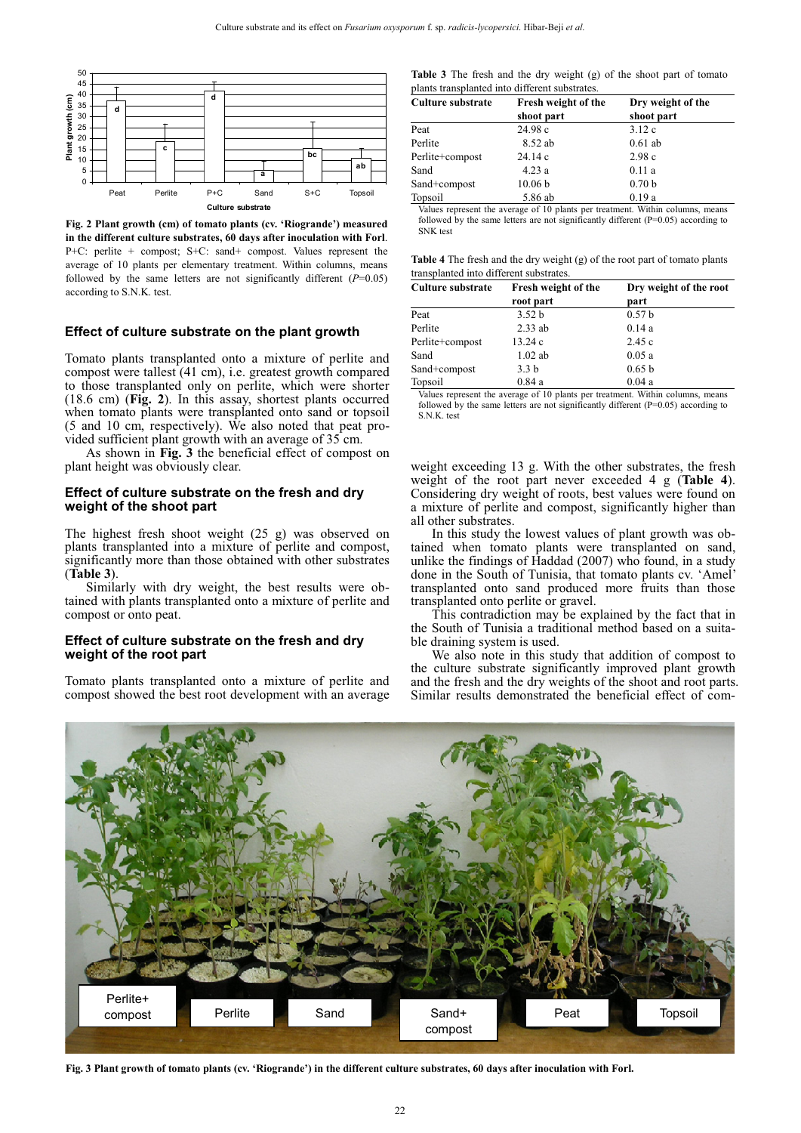

**Fig. 2 Plant growth (cm) of tomato plants (cv. 'Riogrande') measured in the different culture substrates, 60 days after inoculation with Forl**. P+C: perlite + compost; S+C: sand+ compost. Values represent the average of 10 plants per elementary treatment. Within columns, means followed by the same letters are not significantly different  $(P=0.05)$ according to S.N.K. test.

#### **Effect of culture substrate on the plant growth**

Tomato plants transplanted onto a mixture of perlite and compost were tallest (41 cm), i.e. greatest growth compared to those transplanted only on perlite, which were shorter (18.6 cm) (**Fig. 2**). In this assay, shortest plants occurred when tomato plants were transplanted onto sand or topsoil (5 and 10 cm, respectively). We also noted that peat provided sufficient plant growth with an average of 35 cm.

As shown in **Fig. 3** the beneficial effect of compost on plant height was obviously clear.

#### **Effect of culture substrate on the fresh and dry weight of the shoot part**

The highest fresh shoot weight (25 g) was observed on plants transplanted into a mixture of perlite and compost, significantly more than those obtained with other substrates (**Table 3**).

Similarly with dry weight, the best results were obtained with plants transplanted onto a mixture of perlite and compost or onto peat.

#### **Effect of culture substrate on the fresh and dry weight of the root part**

Tomato plants transplanted onto a mixture of perlite and compost showed the best root development with an average

|  |  |  |  | <b>Table 3</b> The fresh and the dry weight (g) of the shoot part of tomato |  |  |  |  |
|--|--|--|--|-----------------------------------------------------------------------------|--|--|--|--|
|  |  |  |  | plants transplanted into different substrates.                              |  |  |  |  |

| <b>Culture substrate</b> | Fresh weight of the | Dry weight of the |  |  |  |
|--------------------------|---------------------|-------------------|--|--|--|
|                          | shoot part          | shoot part        |  |  |  |
| Peat                     | 24.98 c             | 3.12c             |  |  |  |
| Perlite                  | 8.52 ab             | $0.61$ ab         |  |  |  |
| Perlite+compost          | 24.14c              | 2.98c             |  |  |  |
| Sand                     | 4.23a               | 0.11a             |  |  |  |
| Sand+compost             | 10.06 <sub>b</sub>  | 0.70 <sub>b</sub> |  |  |  |
| Topsoil                  | 5.86 ab             | 0.19a             |  |  |  |

lues represent the average of 10 plants per treatment. Within columns, means followed by the same letters are not significantly different (P=0.05) according to SNK test

|  |  |  | <b>Table 4</b> The fresh and the dry weight $(g)$ of the root part of tomato plants |  |  |  |  |
|--|--|--|-------------------------------------------------------------------------------------|--|--|--|--|
|  |  |  | transplanted into different substrates.                                             |  |  |  |  |

| <b>Culture substrate</b> | Fresh weight of the | Dry weight of the root |  |  |  |  |
|--------------------------|---------------------|------------------------|--|--|--|--|
|                          | root part           | part                   |  |  |  |  |
| Peat                     | 3.52 <sub>b</sub>   | 0.57 <sub>b</sub>      |  |  |  |  |
| Perlite                  | $2.33$ ab           | 0.14a                  |  |  |  |  |
| Perlite+compost          | 13.24c              | 2.45c                  |  |  |  |  |
| Sand                     | $1.02$ ab           | 0.05a                  |  |  |  |  |
| Sand+compost             | 3.3 <sub>b</sub>    | 0.65 <sub>b</sub>      |  |  |  |  |
| Topsoil                  | 0.84a               | 0.04a                  |  |  |  |  |

Values represent the average of 10 plants per treatment. Within columns, means followed by the same letters are not significantly different (P=0.05) according to S.N.K. test

weight exceeding 13 g. With the other substrates, the fresh weight of the root part never exceeded 4 g (**Table 4**). Considering dry weight of roots, best values were found on a mixture of perlite and compost, significantly higher than all other substrates.

In this study the lowest values of plant growth was obtained when tomato plants were transplanted on sand, unlike the findings of Haddad (2007) who found, in a study done in the South of Tunisia, that tomato plants cv. 'Amel' transplanted onto sand produced more fruits than those transplanted onto perlite or gravel.

This contradiction may be explained by the fact that in the South of Tunisia a traditional method based on a suitable draining system is used.

We also note in this study that addition of compost to the culture substrate significantly improved plant growth and the fresh and the dry weights of the shoot and root parts. Similar results demonstrated the beneficial effect of com-



**Fig. 3 Plant growth of tomato plants (cv. 'Riogrande') in the different culture substrates, 60 days after inoculation with Forl.**